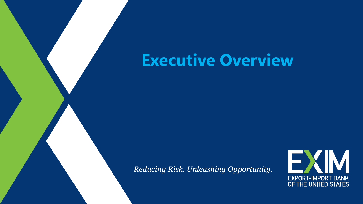# **Executive Overview**

Reducing Risk. Unleashing Opportunity.

Main Title of Presentation of Presentation of Presentation of Presentation of Presentation of Presentation of

Sub-heading

Title of Presenter

Name of Presenter

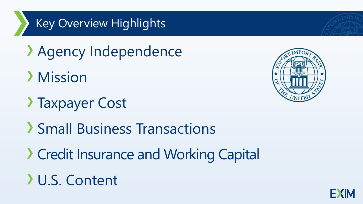## Key Overview Highlights

- Agency Independence
- Mission
- Taxpayer Cost
- Small Business Transactions
- Credit Insurance and Working Capital

# U.S. Content



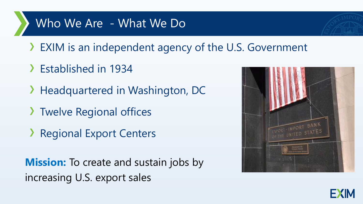### Who We Are - What We Do

- EXIM is an independent agency of the U.S. Government
- Established in 1934
- > Headquartered in Washington, DC
- > Twelve Regional offices
- **Regional Export Centers**

**Mission:** To create and sustain jobs by increasing U.S. export sales



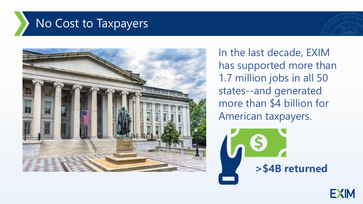### No Cost to Taxpayers



In the last decade, EXIM has supported more than 1.7 million jobs in all 50 states--and generated more than \$4 billion for American taxpayers.

**>\$4B returned**

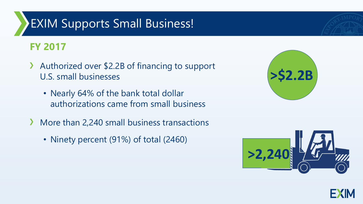### EXIM Supports Small Business!

#### **FY 2017**

- Authorized over \$2.2B of financing to support  $\sum_{i=1}^{n}$ U.S. small businesses
	- Nearly 64% of the bank total dollar authorizations came from small business
- More than 2,240 small business transactions  $\sum$ 
	- Ninety percent (91%) of total (2460)



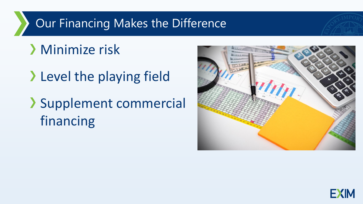#### Our Financing Makes the Difference

## Minimize risk

> Level the playing field

# Supplement commercial financing



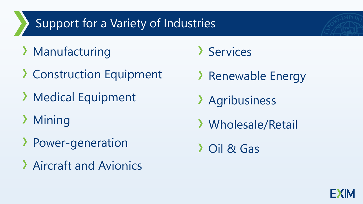### Support for a Variety of Industries

- Manufacturing
- Construction Equipment
- **> Medical Equipment**
- **Mining**
- Power-generation
- Aircraft and Avionics
- > Services
- > Renewable Energy
- Agribusiness
- Wholesale/Retail

Oil & Gas

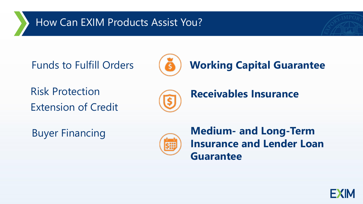#### How Can EXIM Products Assist You?



Risk Protection Extension of Credit



**Receivables Insurance**



Buyer Financing **Medium- and Long-Term Insurance and Lender Loan Guarantee** 

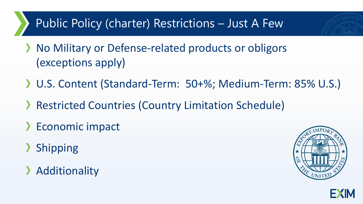### Public Policy (charter) Restrictions – Just A Few

- > No Military or Defense-related products or obligors (exceptions apply)
- U.S. Content (Standard-Term: 50+%; Medium-Term: 85% U.S.)
- Restricted Countries (Country Limitation Schedule)
- > Economic impact
- > Shipping
- > Additionality



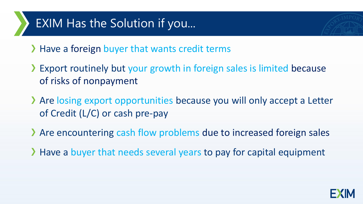### EXIM Has the Solution if you...

> Have a foreign buyer that wants credit terms

- Export routinely but your growth in foreign sales is limited because of risks of nonpayment
- Are losing export opportunities because you will only accept a Letter of Credit (L/C) or cash pre-pay
- Are encountering cash flow problems due to increased foreign sales
- Have a buyer that needs several years to pay for capital equipment